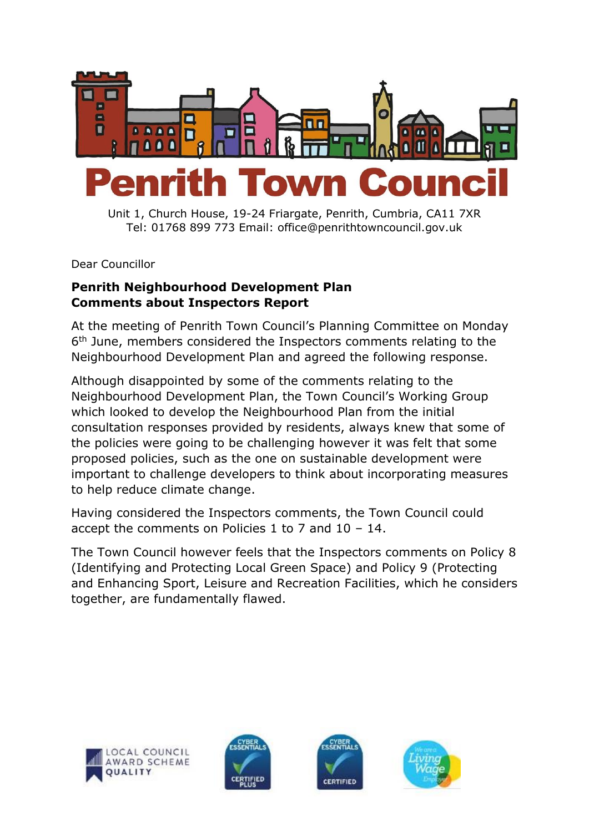

Unit 1, Church House, 19-24 Friargate, Penrith, Cumbria, CA11 7XR Tel: 01768 899 773 Email: office@penrithtowncouncil.gov.uk

Dear Councillor

## **Penrith Neighbourhood Development Plan Comments about Inspectors Report**

At the meeting of Penrith Town Council's Planning Committee on Monday 6<sup>th</sup> June, members considered the Inspectors comments relating to the Neighbourhood Development Plan and agreed the following response.

Although disappointed by some of the comments relating to the Neighbourhood Development Plan, the Town Council's Working Group which looked to develop the Neighbourhood Plan from the initial consultation responses provided by residents, always knew that some of the policies were going to be challenging however it was felt that some proposed policies, such as the one on sustainable development were important to challenge developers to think about incorporating measures to help reduce climate change.

Having considered the Inspectors comments, the Town Council could accept the comments on Policies 1 to 7 and 10 – 14.

The Town Council however feels that the Inspectors comments on Policy 8 (Identifying and Protecting Local Green Space) and Policy 9 (Protecting and Enhancing Sport, Leisure and Recreation Facilities, which he considers together, are fundamentally flawed.







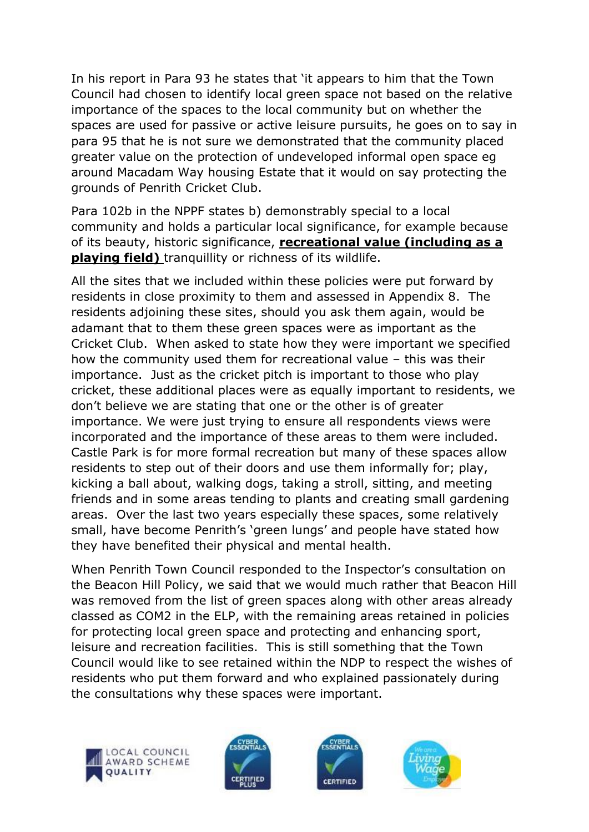In his report in Para 93 he states that 'it appears to him that the Town Council had chosen to identify local green space not based on the relative importance of the spaces to the local community but on whether the spaces are used for passive or active leisure pursuits, he goes on to say in para 95 that he is not sure we demonstrated that the community placed greater value on the protection of undeveloped informal open space eg around Macadam Way housing Estate that it would on say protecting the grounds of Penrith Cricket Club.

Para 102b in the NPPF states b) demonstrably special to a local community and holds a particular local significance, for example because of its beauty, historic significance, **recreational value (including as a playing field)** tranquillity or richness of its wildlife.

All the sites that we included within these policies were put forward by residents in close proximity to them and assessed in Appendix 8. The residents adjoining these sites, should you ask them again, would be adamant that to them these green spaces were as important as the Cricket Club. When asked to state how they were important we specified how the community used them for recreational value – this was their importance. Just as the cricket pitch is important to those who play cricket, these additional places were as equally important to residents, we don't believe we are stating that one or the other is of greater importance. We were just trying to ensure all respondents views were incorporated and the importance of these areas to them were included. Castle Park is for more formal recreation but many of these spaces allow residents to step out of their doors and use them informally for; play, kicking a ball about, walking dogs, taking a stroll, sitting, and meeting friends and in some areas tending to plants and creating small gardening areas. Over the last two years especially these spaces, some relatively small, have become Penrith's 'green lungs' and people have stated how they have benefited their physical and mental health.

When Penrith Town Council responded to the Inspector's consultation on the Beacon Hill Policy, we said that we would much rather that Beacon Hill was removed from the list of green spaces along with other areas already classed as COM2 in the ELP, with the remaining areas retained in policies for protecting local green space and protecting and enhancing sport, leisure and recreation facilities. This is still something that the Town Council would like to see retained within the NDP to respect the wishes of residents who put them forward and who explained passionately during the consultations why these spaces were important.







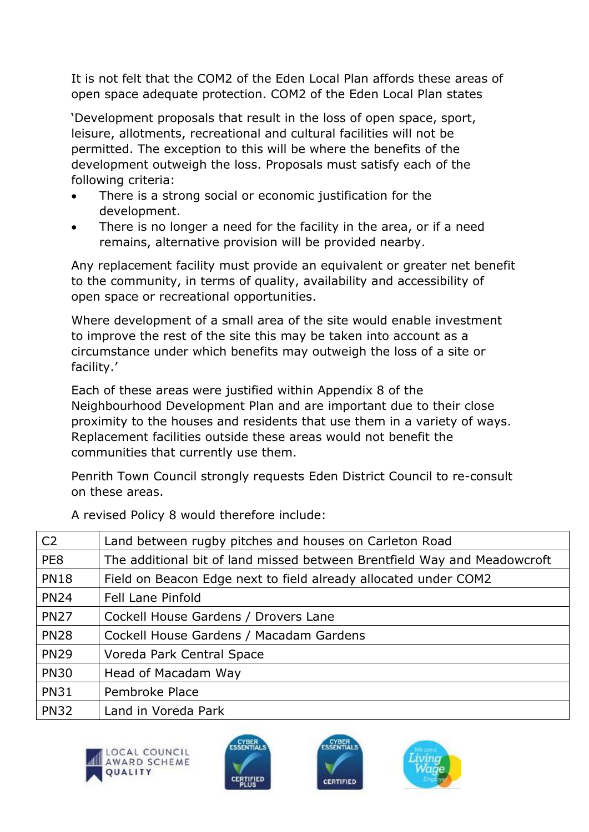It is not felt that the COM2 of the Eden Local Plan affords these areas of open space adequate protection. COM2 of the Eden Local Plan states

'Development proposals that result in the loss of open space, sport, leisure, allotments, recreational and cultural facilities will not be permitted. The exception to this will be where the benefits of the development outweigh the loss. Proposals must satisfy each of the following criteria:

- There is a strong social or economic justification for the development.
- There is no longer a need for the facility in the area, or if a need remains, alternative provision will be provided nearby.

Any replacement facility must provide an equivalent or greater net benefit to the community, in terms of quality, availability and accessibility of open space or recreational opportunities.

Where development of a small area of the site would enable investment to improve the rest of the site this may be taken into account as a circumstance under which benefits may outweigh the loss of a site or facility.'

Each of these areas were justified within Appendix 8 of the Neighbourhood Development Plan and are important due to their close proximity to the houses and residents that use them in a variety of ways. Replacement facilities outside these areas would not benefit the communities that currently use them.

Penrith Town Council strongly requests Eden District Council to re-consult on these areas.

| C <sub>2</sub> | Land between rugby pitches and houses on Carleton Road                   |
|----------------|--------------------------------------------------------------------------|
| PE8            | The additional bit of land missed between Brentfield Way and Meadowcroft |
| <b>PN18</b>    | Field on Beacon Edge next to field already allocated under COM2          |
| <b>PN24</b>    | Fell Lane Pinfold                                                        |
| <b>PN27</b>    | Cockell House Gardens / Drovers Lane                                     |
| <b>PN28</b>    | Cockell House Gardens / Macadam Gardens                                  |
| <b>PN29</b>    | Voreda Park Central Space                                                |
| <b>PN30</b>    | Head of Macadam Way                                                      |
| <b>PN31</b>    | Pembroke Place                                                           |
| <b>PN32</b>    | Land in Voreda Park                                                      |

A revised Policy 8 would therefore include:







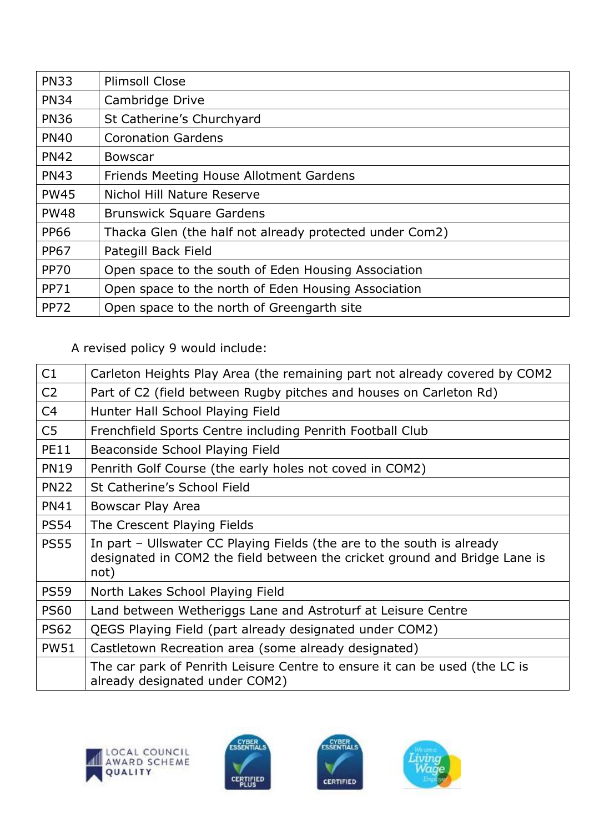| <b>PN33</b> | <b>Plimsoll Close</b>                                   |
|-------------|---------------------------------------------------------|
| <b>PN34</b> | Cambridge Drive                                         |
| <b>PN36</b> | St Catherine's Churchyard                               |
| <b>PN40</b> | <b>Coronation Gardens</b>                               |
| <b>PN42</b> | Bowscar                                                 |
| <b>PN43</b> | Friends Meeting House Allotment Gardens                 |
| <b>PW45</b> | Nichol Hill Nature Reserve                              |
| <b>PW48</b> | <b>Brunswick Square Gardens</b>                         |
| <b>PP66</b> | Thacka Glen (the half not already protected under Com2) |
| <b>PP67</b> | Pategill Back Field                                     |
| <b>PP70</b> | Open space to the south of Eden Housing Association     |
| <b>PP71</b> | Open space to the north of Eden Housing Association     |
| <b>PP72</b> | Open space to the north of Greengarth site              |

A revised policy 9 would include:

| C1             | Carleton Heights Play Area (the remaining part not already covered by COM2                                                                                   |
|----------------|--------------------------------------------------------------------------------------------------------------------------------------------------------------|
| C <sub>2</sub> | Part of C2 (field between Rugby pitches and houses on Carleton Rd)                                                                                           |
| C <sub>4</sub> | Hunter Hall School Playing Field                                                                                                                             |
| C <sub>5</sub> | Frenchfield Sports Centre including Penrith Football Club                                                                                                    |
| <b>PE11</b>    | Beaconside School Playing Field                                                                                                                              |
| <b>PN19</b>    | Penrith Golf Course (the early holes not coved in COM2)                                                                                                      |
| <b>PN22</b>    | St Catherine's School Field                                                                                                                                  |
| <b>PN41</b>    | Bowscar Play Area                                                                                                                                            |
| <b>PS54</b>    | The Crescent Playing Fields                                                                                                                                  |
| <b>PS55</b>    | In part – Ullswater CC Playing Fields (the are to the south is already<br>designated in COM2 the field between the cricket ground and Bridge Lane is<br>not) |
| <b>PS59</b>    | North Lakes School Playing Field                                                                                                                             |
| <b>PS60</b>    | Land between Wetheriggs Lane and Astroturf at Leisure Centre                                                                                                 |
| <b>PS62</b>    | QEGS Playing Field (part already designated under COM2)                                                                                                      |
| <b>PW51</b>    | Castletown Recreation area (some already designated)                                                                                                         |
|                | The car park of Penrith Leisure Centre to ensure it can be used (the LC is<br>already designated under COM2)                                                 |